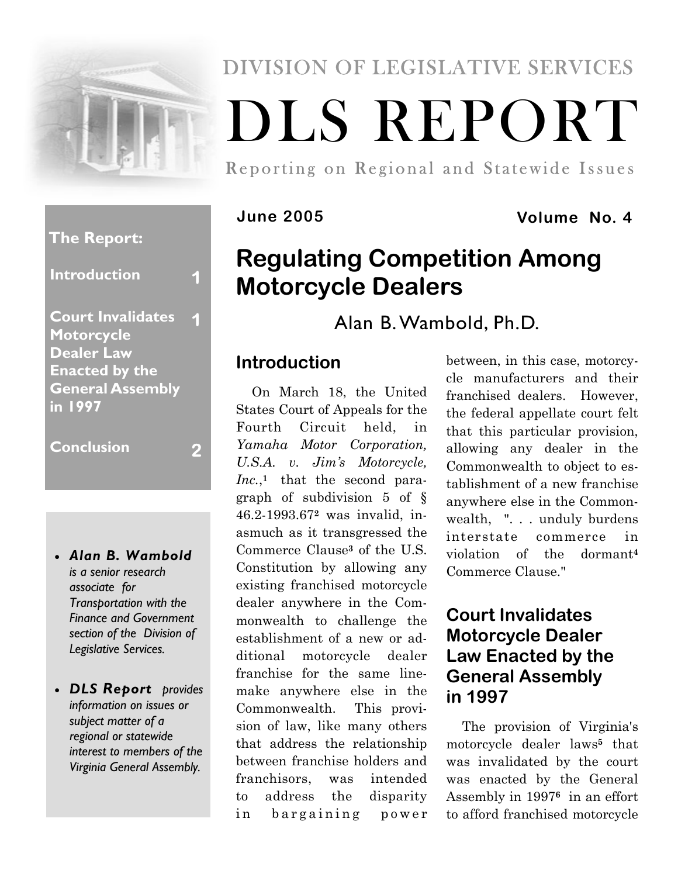

# DIVISION OF LEGISLATIVE SERVICES DLS REPORT

Reporting on Regional and Statewide Issues

#### **June 2005 Volume No. 4**

## **Regulating Competition Among Motorcycle Dealers**

Alan B. Wambold, Ph.D.

### **Introduction**

On March 18, the United States Court of Appeals for the Fourth Circuit held, in *Yamaha Motor Corporation, U.S.A. v. Jim's Motorcycle, Inc.*,**<sup>1</sup>** that the second paragraph of subdivision 5 of § 46.2-1993.67**2** was invalid, inasmuch as it transgressed the Commerce Clause**3** of the U.S. Constitution by allowing any existing franchised motorcycle dealer anywhere in the Commonwealth to challenge the establishment of a new or additional motorcycle dealer franchise for the same linemake anywhere else in the Commonwealth. This provision of law, like many others that address the relationship between franchise holders and franchisors, was intended to address the disparity in bargaining power between, in this case, motorcycle manufacturers and their franchised dealers. However, the federal appellate court felt that this particular provision, allowing any dealer in the Commonwealth to object to establishment of a new franchise anywhere else in the Commonwealth, ". . . unduly burdens interstate commerce in violation of the dormant**<sup>4</sup>** Commerce Clause."

### **Court Invalidates Motorcycle Dealer Law Enacted by the General Assembly in 1997**

The provision of Virginia's motorcycle dealer laws**5** that was invalidated by the court was enacted by the General Assembly in 1997**<sup>6</sup>** in an effort to afford franchised motorcycle

#### **The Report:**

**Introduction 1** 

**Court Invalidates Motorcycle Dealer Law Enacted by the General Assembly in 1997 1** 

**Conclusion 2** 

- *Alan B. Wambold is a senior research associate for Transportation with the Finance and Government section of the Division of Legislative Services.*
- *DLS Report provides information on issues or subject matter of a regional or statewide interest to members of the Virginia General Assembly.*